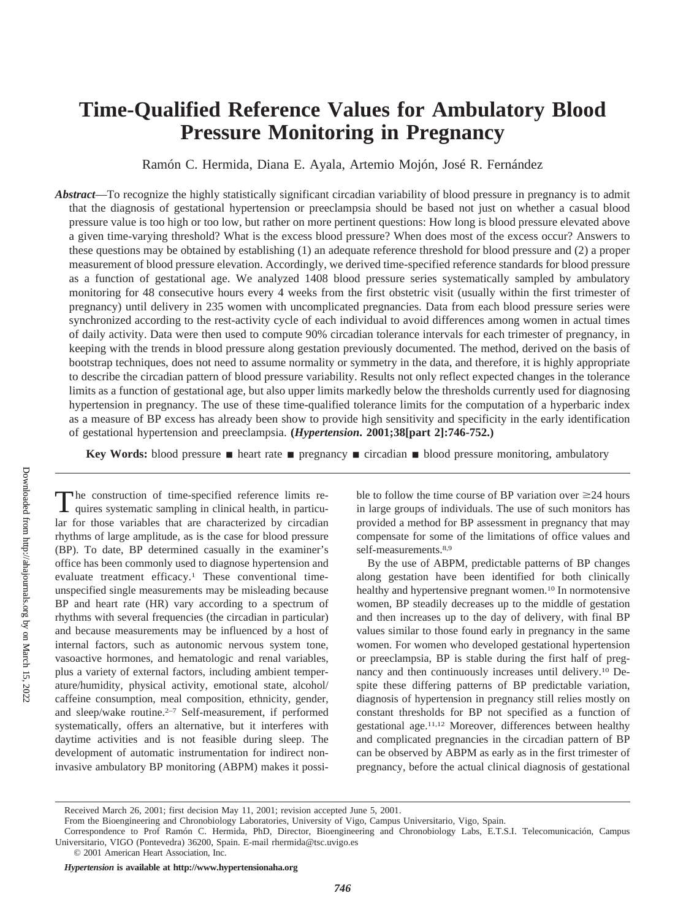# **Time-Qualified Reference Values for Ambulatory Blood Pressure Monitoring in Pregnancy**

Ramón C. Hermida, Diana E. Ayala, Artemio Mojón, José R. Fernández

*Abstract*—To recognize the highly statistically significant circadian variability of blood pressure in pregnancy is to admit that the diagnosis of gestational hypertension or preeclampsia should be based not just on whether a casual blood pressure value is too high or too low, but rather on more pertinent questions: How long is blood pressure elevated above a given time-varying threshold? What is the excess blood pressure? When does most of the excess occur? Answers to these questions may be obtained by establishing (1) an adequate reference threshold for blood pressure and (2) a proper measurement of blood pressure elevation. Accordingly, we derived time-specified reference standards for blood pressure as a function of gestational age. We analyzed 1408 blood pressure series systematically sampled by ambulatory monitoring for 48 consecutive hours every 4 weeks from the first obstetric visit (usually within the first trimester of pregnancy) until delivery in 235 women with uncomplicated pregnancies. Data from each blood pressure series were synchronized according to the rest-activity cycle of each individual to avoid differences among women in actual times of daily activity. Data were then used to compute 90% circadian tolerance intervals for each trimester of pregnancy, in keeping with the trends in blood pressure along gestation previously documented. The method, derived on the basis of bootstrap techniques, does not need to assume normality or symmetry in the data, and therefore, it is highly appropriate to describe the circadian pattern of blood pressure variability. Results not only reflect expected changes in the tolerance limits as a function of gestational age, but also upper limits markedly below the thresholds currently used for diagnosing hypertension in pregnancy. The use of these time-qualified tolerance limits for the computation of a hyperbaric index as a measure of BP excess has already been show to provide high sensitivity and specificity in the early identification of gestational hypertension and preeclampsia. **(***Hypertension***. 2001;38[part 2]:746-752.)**

**Key Words:** blood pressure ■ heart rate ■ pregnancy ■ circadian ■ blood pressure monitoring, ambulatory

The construction of time-specified reference limits re-quires systematic sampling in clinical health, in particular for those variables that are characterized by circadian rhythms of large amplitude, as is the case for blood pressure (BP). To date, BP determined casually in the examiner's office has been commonly used to diagnose hypertension and evaluate treatment efficacy.1 These conventional timeunspecified single measurements may be misleading because BP and heart rate (HR) vary according to a spectrum of rhythms with several frequencies (the circadian in particular) and because measurements may be influenced by a host of internal factors, such as autonomic nervous system tone, vasoactive hormones, and hematologic and renal variables, plus a variety of external factors, including ambient temperature/humidity, physical activity, emotional state, alcohol/ caffeine consumption, meal composition, ethnicity, gender, and sleep/wake routine.<sup>2-7</sup> Self-measurement, if performed systematically, offers an alternative, but it interferes with daytime activities and is not feasible during sleep. The development of automatic instrumentation for indirect noninvasive ambulatory BP monitoring (ABPM) makes it possi-

ble to follow the time course of BP variation over  $\geq 24$  hours in large groups of individuals. The use of such monitors has provided a method for BP assessment in pregnancy that may compensate for some of the limitations of office values and self-measurements.8,9

By the use of ABPM, predictable patterns of BP changes along gestation have been identified for both clinically healthy and hypertensive pregnant women.10 In normotensive women, BP steadily decreases up to the middle of gestation and then increases up to the day of delivery, with final BP values similar to those found early in pregnancy in the same women. For women who developed gestational hypertension or preeclampsia, BP is stable during the first half of pregnancy and then continuously increases until delivery.10 Despite these differing patterns of BP predictable variation, diagnosis of hypertension in pregnancy still relies mostly on constant thresholds for BP not specified as a function of gestational age.11,12 Moreover, differences between healthy and complicated pregnancies in the circadian pattern of BP can be observed by ABPM as early as in the first trimester of pregnancy, before the actual clinical diagnosis of gestational

Received March 26, 2001; first decision May 11, 2001; revision accepted June 5, 2001.

From the Bioengineering and Chronobiology Laboratories, University of Vigo, Campus Universitario, Vigo, Spain.

Correspondence to Prof Ramón C. Hermida, PhD, Director, Bioengineering and Chronobiology Labs, E.T.S.I. Telecomunicación, Campus Universitario, VIGO (Pontevedra) 36200, Spain. E-mail rhermida@tsc.uvigo.es

<sup>© 2001</sup> American Heart Association, Inc.

*Hypertension* **is available at http://www.hypertensionaha.org**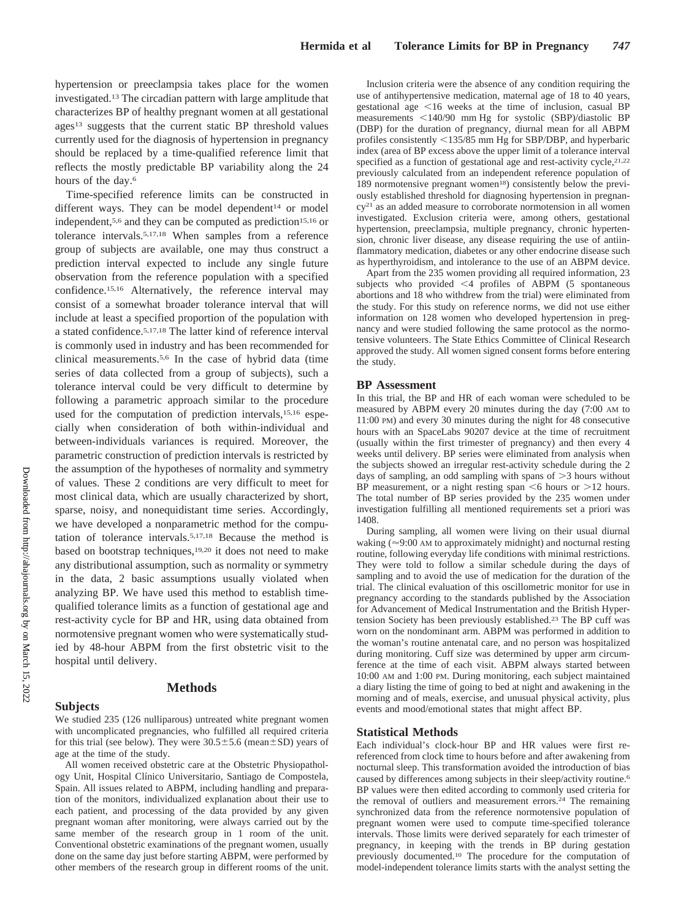hypertension or preeclampsia takes place for the women investigated.13 The circadian pattern with large amplitude that characterizes BP of healthy pregnant women at all gestational ages<sup>13</sup> suggests that the current static BP threshold values currently used for the diagnosis of hypertension in pregnancy should be replaced by a time-qualified reference limit that reflects the mostly predictable BP variability along the 24 hours of the day.<sup>6</sup>

Time-specified reference limits can be constructed in different ways. They can be model dependent<sup>14</sup> or model independent,<sup>5,6</sup> and they can be computed as prediction<sup>15,16</sup> or tolerance intervals.5,17,18 When samples from a reference group of subjects are available, one may thus construct a prediction interval expected to include any single future observation from the reference population with a specified confidence.15,16 Alternatively, the reference interval may consist of a somewhat broader tolerance interval that will include at least a specified proportion of the population with a stated confidence.5,17,18 The latter kind of reference interval is commonly used in industry and has been recommended for clinical measurements.5,6 In the case of hybrid data (time series of data collected from a group of subjects), such a tolerance interval could be very difficult to determine by following a parametric approach similar to the procedure used for the computation of prediction intervals,<sup>15,16</sup> especially when consideration of both within-individual and between-individuals variances is required. Moreover, the parametric construction of prediction intervals is restricted by the assumption of the hypotheses of normality and symmetry of values. These 2 conditions are very difficult to meet for most clinical data, which are usually characterized by short, sparse, noisy, and nonequidistant time series. Accordingly, we have developed a nonparametric method for the computation of tolerance intervals.5,17,18 Because the method is based on bootstrap techniques,19,20 it does not need to make any distributional assumption, such as normality or symmetry in the data, 2 basic assumptions usually violated when analyzing BP. We have used this method to establish timequalified tolerance limits as a function of gestational age and rest-activity cycle for BP and HR, using data obtained from normotensive pregnant women who were systematically studied by 48-hour ABPM from the first obstetric visit to the hospital until delivery.

## **Subjects**

## **Methods**

We studied 235 (126 nulliparous) untreated white pregnant women with uncomplicated pregnancies, who fulfilled all required criteria for this trial (see below). They were  $30.5 \pm 5.6$  (mean $\pm$ SD) years of age at the time of the study.

All women received obstetric care at the Obstetric Physiopathology Unit, Hospital Clínico Universitario, Santiago de Compostela, Spain. All issues related to ABPM, including handling and preparation of the monitors, individualized explanation about their use to each patient, and processing of the data provided by any given pregnant woman after monitoring, were always carried out by the same member of the research group in 1 room of the unit. Conventional obstetric examinations of the pregnant women, usually done on the same day just before starting ABPM, were performed by other members of the research group in different rooms of the unit.

Inclusion criteria were the absence of any condition requiring the use of antihypertensive medication, maternal age of 18 to 40 years, gestational age  $\leq 16$  weeks at the time of inclusion, casual BP measurements <140/90 mm Hg for systolic (SBP)/diastolic BP (DBP) for the duration of pregnancy, diurnal mean for all ABPM profiles consistently  $\leq$ 135/85 mm Hg for SBP/DBP, and hyperbaric index (area of BP excess above the upper limit of a tolerance interval specified as a function of gestational age and rest-activity cycle, <sup>21,22</sup> previously calculated from an independent reference population of 189 normotensive pregnant women<sup>18</sup>) consistently below the previously established threshold for diagnosing hypertension in pregnancy21 as an added measure to corroborate normotension in all women investigated. Exclusion criteria were, among others, gestational hypertension, preeclampsia, multiple pregnancy, chronic hypertension, chronic liver disease, any disease requiring the use of antiinflammatory medication, diabetes or any other endocrine disease such as hyperthyroidism, and intolerance to the use of an ABPM device.

Apart from the 235 women providing all required information, 23 subjects who provided  $\leq 4$  profiles of ABPM (5 spontaneous abortions and 18 who withdrew from the trial) were eliminated from the study. For this study on reference norms, we did not use either information on 128 women who developed hypertension in pregnancy and were studied following the same protocol as the normotensive volunteers. The State Ethics Committee of Clinical Research approved the study. All women signed consent forms before entering the study.

## **BP Assessment**

In this trial, the BP and HR of each woman were scheduled to be measured by ABPM every 20 minutes during the day (7:00 AM to 11:00 PM) and every 30 minutes during the night for 48 consecutive hours with an SpaceLabs 90207 device at the time of recruitment (usually within the first trimester of pregnancy) and then every 4 weeks until delivery. BP series were eliminated from analysis when the subjects showed an irregular rest-activity schedule during the 2 days of sampling, an odd sampling with spans of  $\geq$ 3 hours without BP measurement, or a night resting span  $<6$  hours or  $>12$  hours. The total number of BP series provided by the 235 women under investigation fulfilling all mentioned requirements set a priori was 1408.

During sampling, all women were living on their usual diurnal waking  $(\approx 9:00$  AM to approximately midnight) and nocturnal resting routine, following everyday life conditions with minimal restrictions. They were told to follow a similar schedule during the days of sampling and to avoid the use of medication for the duration of the trial. The clinical evaluation of this oscillometric monitor for use in pregnancy according to the standards published by the Association for Advancement of Medical Instrumentation and the British Hypertension Society has been previously established.23 The BP cuff was worn on the nondominant arm. ABPM was performed in addition to the woman's routine antenatal care, and no person was hospitalized during monitoring. Cuff size was determined by upper arm circumference at the time of each visit. ABPM always started between 10:00 AM and 1:00 PM. During monitoring, each subject maintained a diary listing the time of going to bed at night and awakening in the morning and of meals, exercise, and unusual physical activity, plus events and mood/emotional states that might affect BP.

#### **Statistical Methods**

Each individual's clock-hour BP and HR values were first rereferenced from clock time to hours before and after awakening from nocturnal sleep. This transformation avoided the introduction of bias caused by differences among subjects in their sleep/activity routine.6 BP values were then edited according to commonly used criteria for the removal of outliers and measurement errors.24 The remaining synchronized data from the reference normotensive population of pregnant women were used to compute time-specified tolerance intervals. Those limits were derived separately for each trimester of pregnancy, in keeping with the trends in BP during gestation previously documented.10 The procedure for the computation of model-independent tolerance limits starts with the analyst setting the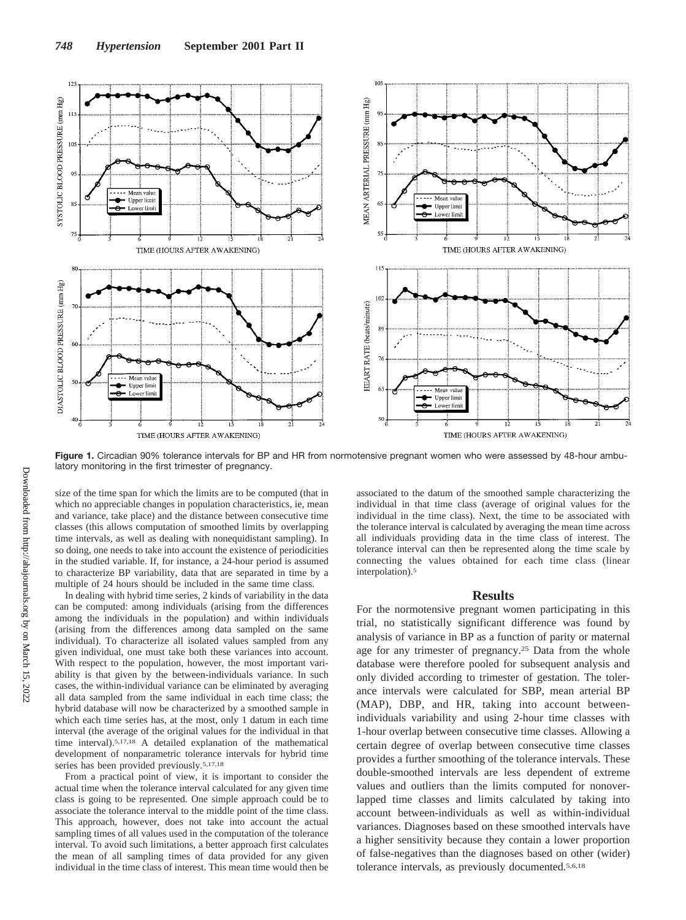

**Figure 1.** Circadian 90% tolerance intervals for BP and HR from normotensive pregnant women who were assessed by 48-hour ambulatory monitoring in the first trimester of pregnancy.

size of the time span for which the limits are to be computed (that in which no appreciable changes in population characteristics, ie, mean and variance, take place) and the distance between consecutive time classes (this allows computation of smoothed limits by overlapping time intervals, as well as dealing with nonequidistant sampling). In so doing, one needs to take into account the existence of periodicities in the studied variable. If, for instance, a 24-hour period is assumed to characterize BP variability, data that are separated in time by a multiple of 24 hours should be included in the same time class.

In dealing with hybrid time series, 2 kinds of variability in the data can be computed: among individuals (arising from the differences among the individuals in the population) and within individuals (arising from the differences among data sampled on the same individual). To characterize all isolated values sampled from any given individual, one must take both these variances into account. With respect to the population, however, the most important variability is that given by the between-individuals variance. In such cases, the within-individual variance can be eliminated by averaging all data sampled from the same individual in each time class; the hybrid database will now be characterized by a smoothed sample in which each time series has, at the most, only 1 datum in each time interval (the average of the original values for the individual in that time interval).5,17,18 A detailed explanation of the mathematical development of nonparametric tolerance intervals for hybrid time series has been provided previously.5,17,18

From a practical point of view, it is important to consider the actual time when the tolerance interval calculated for any given time class is going to be represented. One simple approach could be to associate the tolerance interval to the middle point of the time class. This approach, however, does not take into account the actual sampling times of all values used in the computation of the tolerance interval. To avoid such limitations, a better approach first calculates the mean of all sampling times of data provided for any given individual in the time class of interest. This mean time would then be associated to the datum of the smoothed sample characterizing the individual in that time class (average of original values for the individual in the time class). Next, the time to be associated with the tolerance interval is calculated by averaging the mean time across all individuals providing data in the time class of interest. The tolerance interval can then be represented along the time scale by connecting the values obtained for each time class (linear interpolation).5

#### **Results**

For the normotensive pregnant women participating in this trial, no statistically significant difference was found by analysis of variance in BP as a function of parity or maternal age for any trimester of pregnancy.25 Data from the whole database were therefore pooled for subsequent analysis and only divided according to trimester of gestation. The tolerance intervals were calculated for SBP, mean arterial BP (MAP), DBP, and HR, taking into account betweenindividuals variability and using 2-hour time classes with 1-hour overlap between consecutive time classes. Allowing a certain degree of overlap between consecutive time classes provides a further smoothing of the tolerance intervals. These double-smoothed intervals are less dependent of extreme values and outliers than the limits computed for nonoverlapped time classes and limits calculated by taking into account between-individuals as well as within-individual variances. Diagnoses based on these smoothed intervals have a higher sensitivity because they contain a lower proportion of false-negatives than the diagnoses based on other (wider) tolerance intervals, as previously documented.5,6,18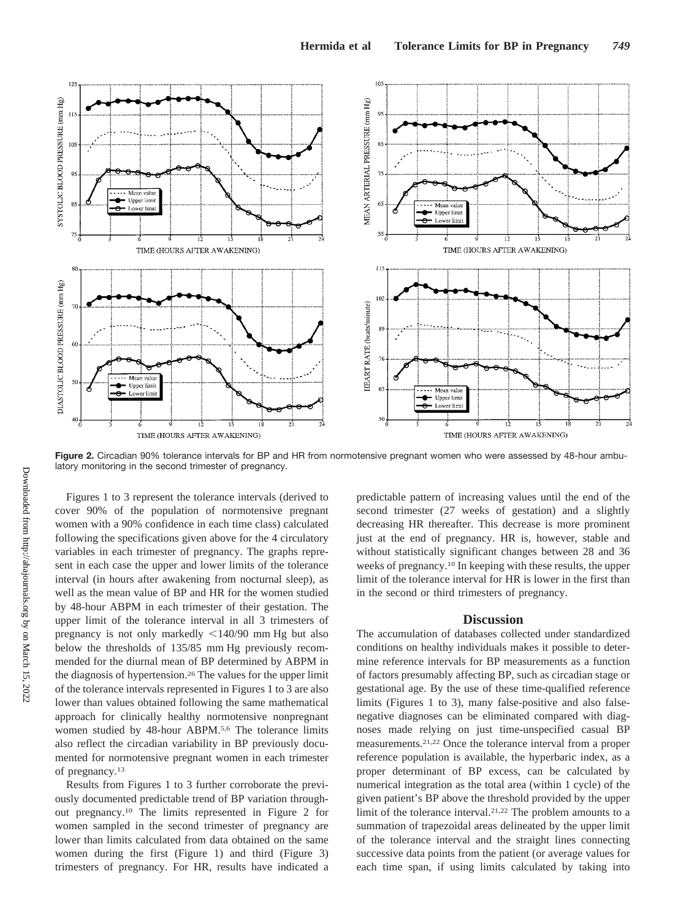

**Figure 2.** Circadian 90% tolerance intervals for BP and HR from normotensive pregnant women who were assessed by 48-hour ambulatory monitoring in the second trimester of pregnancy.

Figures 1 to 3 represent the tolerance intervals (derived to cover 90% of the population of normotensive pregnant women with a 90% confidence in each time class) calculated following the specifications given above for the 4 circulatory variables in each trimester of pregnancy. The graphs represent in each case the upper and lower limits of the tolerance interval (in hours after awakening from nocturnal sleep), as well as the mean value of BP and HR for the women studied by 48-hour ABPM in each trimester of their gestation. The upper limit of the tolerance interval in all 3 trimesters of pregnancy is not only markedly  $\langle 140/90 \rangle$  mm Hg but also below the thresholds of 135/85 mm Hg previously recommended for the diurnal mean of BP determined by ABPM in the diagnosis of hypertension.26 The values for the upper limit of the tolerance intervals represented in Figures 1 to 3 are also lower than values obtained following the same mathematical approach for clinically healthy normotensive nonpregnant women studied by 48-hour ABPM.5,6 The tolerance limits also reflect the circadian variability in BP previously documented for normotensive pregnant women in each trimester of pregnancy.13

Results from Figures 1 to 3 further corroborate the previously documented predictable trend of BP variation throughout pregnancy.10 The limits represented in Figure 2 for women sampled in the second trimester of pregnancy are lower than limits calculated from data obtained on the same women during the first (Figure 1) and third (Figure 3) trimesters of pregnancy. For HR, results have indicated a predictable pattern of increasing values until the end of the second trimester (27 weeks of gestation) and a slightly decreasing HR thereafter. This decrease is more prominent just at the end of pregnancy. HR is, however, stable and without statistically significant changes between 28 and 36 weeks of pregnancy.10 In keeping with these results, the upper limit of the tolerance interval for HR is lower in the first than in the second or third trimesters of pregnancy.

## **Discussion**

The accumulation of databases collected under standardized conditions on healthy individuals makes it possible to determine reference intervals for BP measurements as a function of factors presumably affecting BP, such as circadian stage or gestational age. By the use of these time-qualified reference limits (Figures 1 to 3), many false-positive and also falsenegative diagnoses can be eliminated compared with diagnoses made relying on just time-unspecified casual BP measurements.21,22 Once the tolerance interval from a proper reference population is available, the hyperbaric index, as a proper determinant of BP excess, can be calculated by numerical integration as the total area (within 1 cycle) of the given patient's BP above the threshold provided by the upper limit of the tolerance interval.21,22 The problem amounts to a summation of trapezoidal areas delineated by the upper limit of the tolerance interval and the straight lines connecting successive data points from the patient (or average values for each time span, if using limits calculated by taking into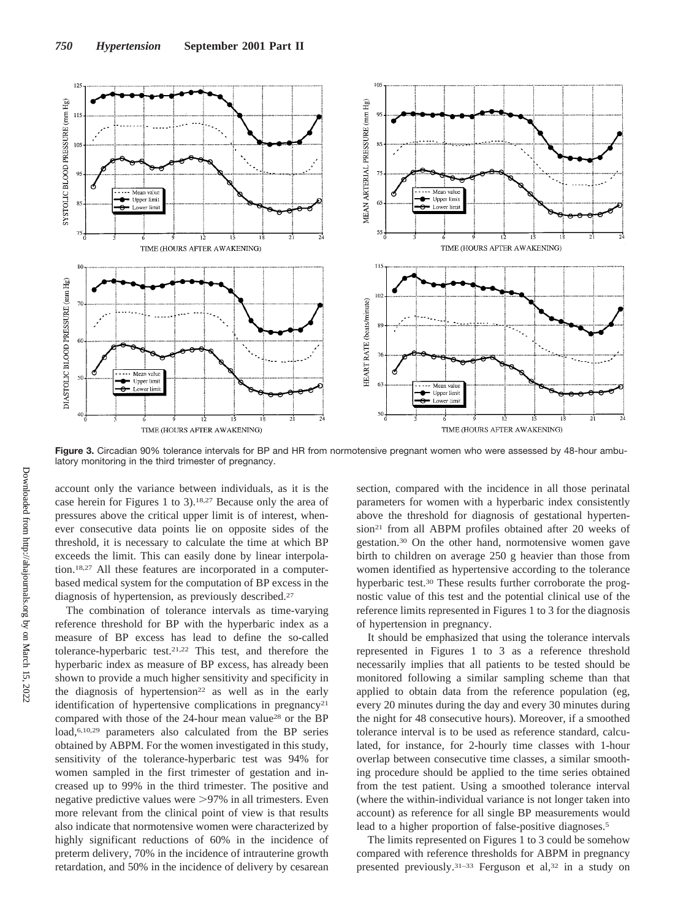

**Figure 3.** Circadian 90% tolerance intervals for BP and HR from normotensive pregnant women who were assessed by 48-hour ambulatory monitoring in the third trimester of pregnancy.

account only the variance between individuals, as it is the case herein for Figures 1 to 3).18,27 Because only the area of pressures above the critical upper limit is of interest, whenever consecutive data points lie on opposite sides of the threshold, it is necessary to calculate the time at which BP exceeds the limit. This can easily done by linear interpolation.18,27 All these features are incorporated in a computerbased medical system for the computation of BP excess in the diagnosis of hypertension, as previously described.27

The combination of tolerance intervals as time-varying reference threshold for BP with the hyperbaric index as a measure of BP excess has lead to define the so-called tolerance-hyperbaric test.21,22 This test, and therefore the hyperbaric index as measure of BP excess, has already been shown to provide a much higher sensitivity and specificity in the diagnosis of hypertension<sup>22</sup> as well as in the early identification of hypertensive complications in pregnancy<sup>21</sup> compared with those of the 24-hour mean value<sup>28</sup> or the BP load,<sup>6,10,29</sup> parameters also calculated from the BP series obtained by ABPM. For the women investigated in this study, sensitivity of the tolerance-hyperbaric test was 94% for women sampled in the first trimester of gestation and increased up to 99% in the third trimester. The positive and negative predictive values were  $>97\%$  in all trimesters. Even more relevant from the clinical point of view is that results also indicate that normotensive women were characterized by highly significant reductions of 60% in the incidence of preterm delivery, 70% in the incidence of intrauterine growth retardation, and 50% in the incidence of delivery by cesarean section, compared with the incidence in all those perinatal parameters for women with a hyperbaric index consistently above the threshold for diagnosis of gestational hypertension<sup>21</sup> from all ABPM profiles obtained after 20 weeks of gestation.30 On the other hand, normotensive women gave birth to children on average 250 g heavier than those from women identified as hypertensive according to the tolerance hyperbaric test.30 These results further corroborate the prognostic value of this test and the potential clinical use of the reference limits represented in Figures 1 to 3 for the diagnosis of hypertension in pregnancy.

It should be emphasized that using the tolerance intervals represented in Figures 1 to 3 as a reference threshold necessarily implies that all patients to be tested should be monitored following a similar sampling scheme than that applied to obtain data from the reference population (eg, every 20 minutes during the day and every 30 minutes during the night for 48 consecutive hours). Moreover, if a smoothed tolerance interval is to be used as reference standard, calculated, for instance, for 2-hourly time classes with 1-hour overlap between consecutive time classes, a similar smoothing procedure should be applied to the time series obtained from the test patient. Using a smoothed tolerance interval (where the within-individual variance is not longer taken into account) as reference for all single BP measurements would lead to a higher proportion of false-positive diagnoses.5

The limits represented on Figures 1 to 3 could be somehow compared with reference thresholds for ABPM in pregnancy presented previously.<sup>31-33</sup> Ferguson et al,<sup>32</sup> in a study on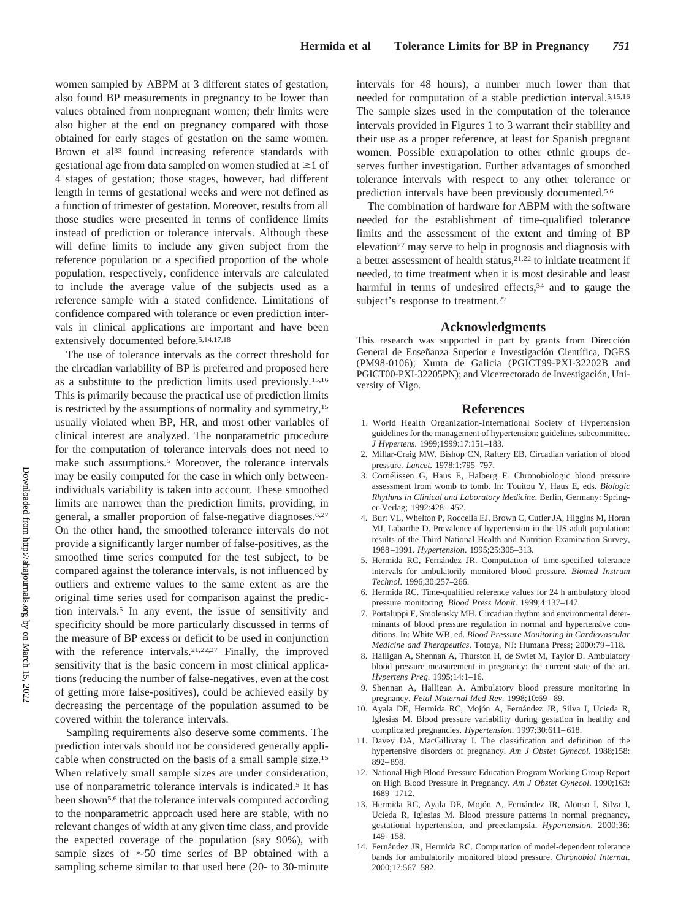women sampled by ABPM at 3 different states of gestation, also found BP measurements in pregnancy to be lower than values obtained from nonpregnant women; their limits were also higher at the end on pregnancy compared with those obtained for early stages of gestation on the same women. Brown et al<sup>33</sup> found increasing reference standards with gestational age from data sampled on women studied at  $\geq 1$  of 4 stages of gestation; those stages, however, had different length in terms of gestational weeks and were not defined as a function of trimester of gestation. Moreover, results from all those studies were presented in terms of confidence limits instead of prediction or tolerance intervals. Although these will define limits to include any given subject from the reference population or a specified proportion of the whole population, respectively, confidence intervals are calculated to include the average value of the subjects used as a reference sample with a stated confidence. Limitations of confidence compared with tolerance or even prediction intervals in clinical applications are important and have been extensively documented before.5,14,17,18

The use of tolerance intervals as the correct threshold for the circadian variability of BP is preferred and proposed here as a substitute to the prediction limits used previously.15,16 This is primarily because the practical use of prediction limits is restricted by the assumptions of normality and symmetry,<sup>15</sup> usually violated when BP, HR, and most other variables of clinical interest are analyzed. The nonparametric procedure for the computation of tolerance intervals does not need to make such assumptions.5 Moreover, the tolerance intervals may be easily computed for the case in which only betweenindividuals variability is taken into account. These smoothed limits are narrower than the prediction limits, providing, in general, a smaller proportion of false-negative diagnoses.6,27 On the other hand, the smoothed tolerance intervals do not provide a significantly larger number of false-positives, as the smoothed time series computed for the test subject, to be compared against the tolerance intervals, is not influenced by outliers and extreme values to the same extent as are the original time series used for comparison against the prediction intervals.5 In any event, the issue of sensitivity and specificity should be more particularly discussed in terms of the measure of BP excess or deficit to be used in conjunction with the reference intervals.<sup>21,22,27</sup> Finally, the improved sensitivity that is the basic concern in most clinical applications (reducing the number of false-negatives, even at the cost of getting more false-positives), could be achieved easily by decreasing the percentage of the population assumed to be covered within the tolerance intervals.

Sampling requirements also deserve some comments. The prediction intervals should not be considered generally applicable when constructed on the basis of a small sample size.15 When relatively small sample sizes are under consideration, use of nonparametric tolerance intervals is indicated.<sup>5</sup> It has been shown<sup>5,6</sup> that the tolerance intervals computed according to the nonparametric approach used here are stable, with no relevant changes of width at any given time class, and provide the expected coverage of the population (say 90%), with sample sizes of  $\approx 50$  time series of BP obtained with a sampling scheme similar to that used here (20- to 30-minute intervals for 48 hours), a number much lower than that needed for computation of a stable prediction interval.5,15,16 The sample sizes used in the computation of the tolerance intervals provided in Figures 1 to 3 warrant their stability and their use as a proper reference, at least for Spanish pregnant women. Possible extrapolation to other ethnic groups deserves further investigation. Further advantages of smoothed tolerance intervals with respect to any other tolerance or prediction intervals have been previously documented.5,6

The combination of hardware for ABPM with the software needed for the establishment of time-qualified tolerance limits and the assessment of the extent and timing of BP elevation<sup>27</sup> may serve to help in prognosis and diagnosis with a better assessment of health status,<sup>21,22</sup> to initiate treatment if needed, to time treatment when it is most desirable and least harmful in terms of undesired effects,<sup>34</sup> and to gauge the subject's response to treatment.<sup>27</sup>

## **Acknowledgments**

This research was supported in part by grants from Dirección General de Enseñanza Superior e Investigación Científica, DGES (PM98-0106); Xunta de Galicia (PGICT99-PXI-32202B and PGICT00-PXI-32205PN); and Vicerrectorado de Investigación, University of Vigo.

#### **References**

- 1. World Health Organization-International Society of Hypertension guidelines for the management of hypertension: guidelines subcommittee. *J Hypertens*. 1999;1999:17:151–183.
- 2. Millar-Craig MW, Bishop CN, Raftery EB. Circadian variation of blood pressure. *Lancet*. 1978;1:795–797.
- 3. Cornélissen G, Haus E, Halberg F. Chronobiologic blood pressure assessment from womb to tomb. In: Touitou Y, Haus E, eds. *Biologic Rhythms in Clinical and Laboratory Medicine*. Berlin, Germany: Springer-Verlag; 1992:428–452.
- 4. Burt VL, Whelton P, Roccella EJ, Brown C, Cutler JA, Higgins M, Horan MJ, Labarthe D. Prevalence of hypertension in the US adult population: results of the Third National Health and Nutrition Examination Survey, 1988–1991. *Hypertension*. 1995;25:305–313.
- 5. Hermida RC, Fernández JR. Computation of time-specified tolerance intervals for ambulatorily monitored blood pressure. *Biomed Instrum Technol*. 1996;30:257–266.
- 6. Hermida RC. Time-qualified reference values for 24 h ambulatory blood pressure monitoring. *Blood Press Monit*. 1999;4:137–147.
- 7. Portaluppi F, Smolensky MH. Circadian rhythm and environmental determinants of blood pressure regulation in normal and hypertensive conditions. In: White WB, ed. *Blood Pressure Monitoring in Cardiovascular Medicine and Therapeutics*. Totoya, NJ: Humana Press; 2000:79–118.
- 8. Halligan A, Shennan A, Thurston H, de Swiet M, Taylor D. Ambulatory blood pressure measurement in pregnancy: the current state of the art. *Hypertens Preg*. 1995;14:1–16.
- 9. Shennan A, Halligan A. Ambulatory blood pressure monitoring in pregnancy. *Fetal Maternal Med Rev*. 1998;10:69–89.
- 10. Ayala DE, Hermida RC, Mojón A, Fernández JR, Silva I, Ucieda R, Iglesias M. Blood pressure variability during gestation in healthy and complicated pregnancies. *Hypertension*. 1997;30:611–618.
- 11. Davey DA, MacGillivray I. The classification and definition of the hypertensive disorders of pregnancy. *Am J Obstet Gynecol*. 1988;158: 892–898.
- 12. National High Blood Pressure Education Program Working Group Report on High Blood Pressure in Pregnancy. *Am J Obstet Gynecol*. 1990;163: 1689–1712.
- 13. Hermida RC, Ayala DE, Mojón A, Fernández JR, Alonso I, Silva I, Ucieda R, Iglesias M. Blood pressure patterns in normal pregnancy, gestational hypertension, and preeclampsia. *Hypertension*. 2000;36: 149–158.
- 14. Fernández JR, Hermida RC. Computation of model-dependent tolerance bands for ambulatorily monitored blood pressure. *Chronobiol Internat*. 2000;17:567–582.